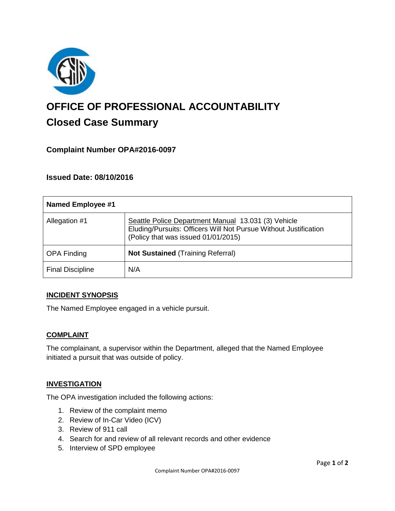

# **OFFICE OF PROFESSIONAL ACCOUNTABILITY Closed Case Summary**

## **Complaint Number OPA#2016-0097**

### **Issued Date: 08/10/2016**

| <b>Named Employee #1</b> |                                                                                                                                                                |
|--------------------------|----------------------------------------------------------------------------------------------------------------------------------------------------------------|
| Allegation #1            | Seattle Police Department Manual 13.031 (3) Vehicle<br>Eluding/Pursuits: Officers Will Not Pursue Without Justification<br>(Policy that was issued 01/01/2015) |
| <b>OPA Finding</b>       | <b>Not Sustained (Training Referral)</b>                                                                                                                       |
| <b>Final Discipline</b>  | N/A                                                                                                                                                            |

#### **INCIDENT SYNOPSIS**

The Named Employee engaged in a vehicle pursuit.

#### **COMPLAINT**

The complainant, a supervisor within the Department, alleged that the Named Employee initiated a pursuit that was outside of policy.

#### **INVESTIGATION**

The OPA investigation included the following actions:

- 1. Review of the complaint memo
- 2. Review of In-Car Video (ICV)
- 3. Review of 911 call
- 4. Search for and review of all relevant records and other evidence
- 5. Interview of SPD employee